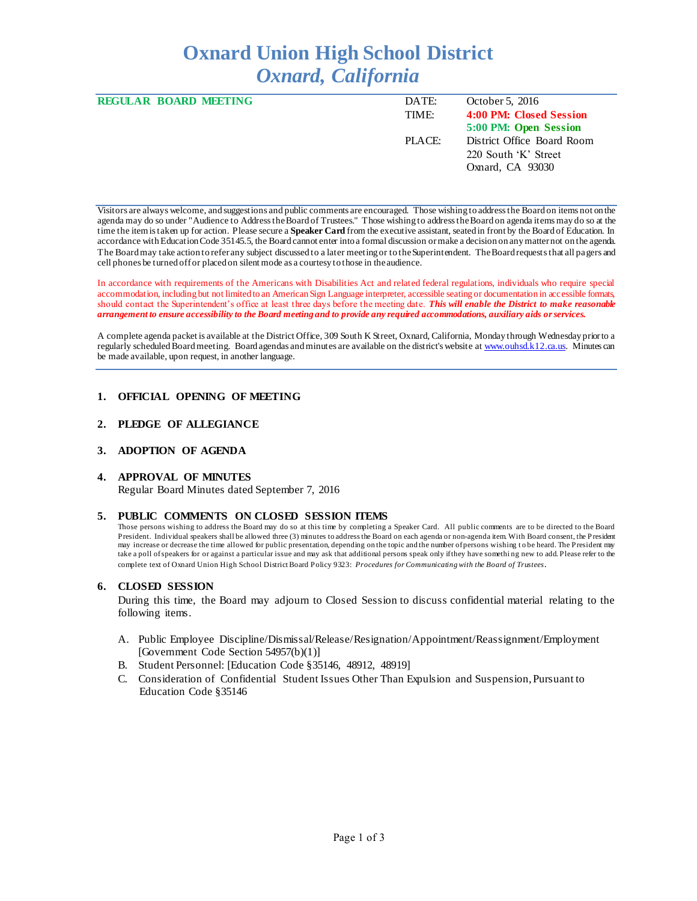# **Oxnard Union High School District** *Oxnard, California*

| <b>REGULAR BOARD MEETING</b> | DATE:  | October 5, 2016            |
|------------------------------|--------|----------------------------|
|                              | TIME:  | 4:00 PM: Closed Session    |
|                              |        | 5:00 PM: Open Session      |
|                              | PLACE: | District Office Board Room |
|                              |        | 220 South 'K' Street       |
|                              |        | Oxnard, CA 93030           |
|                              |        |                            |

Visitors are always welcome, and suggestions and public comments are encouraged. Those wishing to address the Board on items not on the agenda may do so under "Audience to Address the Board of Trustees." Those wishing to address the Board on agenda items may do so at the time the item is taken up for action. Please secure a **Speaker Card** from the executive assistant, seated in front by the Board of Education. In accordance with Education Code 35145.5, the Board cannot enter into a formal discussion or make a decision on any matter not on the agenda. The Board may take action to refer any subject discussed to a later meeting or to the Superintendent. The Board requests that all pagers and cell phones be turned off or placed on silent mode as a courtesy to those in the audience.

In accordance with requirements of the Americans with Disabilities Act and related federal regulations, individuals who require special accommodation, including but not limited to an American Sign Language interpreter, accessible seating or documentation in accessible formats, should contact the Superintendent's office at least three days before the meeting date. *This will enable the District to make reasonable arrangement to ensure accessibility to the Board meeting and to provide any required accommodations, auxiliary aids or services.* 

A complete agenda packet is available at the District Office, 309 South K Street, Oxnard, California, Monday through Wednesday prior to a regularly scheduled Board meeting. Board agendas and minutes are available on the district's website [at www.ouhsd.k12.ca.us](http://www.ouhsd.k12.ca.us/). Minutes can be made available, upon request, in another language.

## **1. OFFICIAL OPENING OF MEETING**

## **2. PLEDGE OF ALLEGIANCE**

#### **3. ADOPTION OF AGENDA**

#### **4. APPROVAL OF MINUTES**

Regular Board Minutes dated September 7, 2016

#### **5. PUBLIC COMMENTS ON CLOSED SESSION ITEMS**

Those persons wishing to address the Board may do so at this time by completing a Speaker Card. All public comments are to be directed to the Board President. Individual speakers shall be allowed three (3) minutes to address the Board on each agenda or non-agenda item. With Board consent, the President may increase or decrease the time allowed for public presentation, depending on the topic and the number of persons wishing to be heard. The President may take a poll of speakers for or against a particular issue and may ask that additional persons speak only if they have somethi ng new to add. Please refer to the complete text of Oxnard Union High School District Board Policy 9323: *Procedures for Communicating with the Board of Trustees*.

#### **6. CLOSED SESSION**

During this time, the Board may adjourn to Closed Session to discuss confidential material relating to the following items.

- A. Public Employee Discipline/Dismissal/Release/Resignation/Appointment/Reassignment/Employment [Government Code Section 54957(b)(1)]
- B. Student Personnel: [Education Code §35146, 48912, 48919]
- C. Consideration of Confidential Student Issues Other Than Expulsion and Suspension, Pursuant to Education Code §35146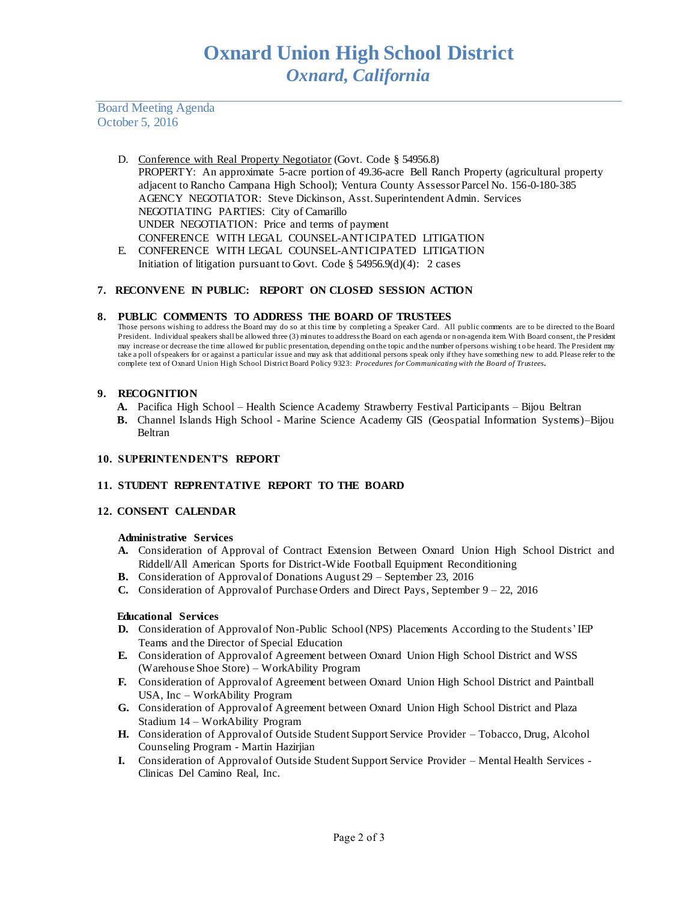Board Meeting Agenda October 5, 2016

- D. Conference with Real Property Negotiator (Govt. Code § 54956.8) PROPERTY: An approximate 5-acre portion of 49.36-acre Bell Ranch Property (agricultural property adjacent to Rancho Campana High School); Ventura County Assessor Parcel No. 156-0-180-385 AGENCY NEGOTIATOR: Steve Dickinson, Asst. Superintendent Admin. Services NEGOTIATING PARTIES: City of Camarillo UNDER NEGOTIATION: Price and terms of payment CONFERENCE WITH LEGAL COUNSEL-ANTICIPATED LITIGATION E. CONFERENCE WITH LEGAL COUNSEL-ANTICIPATED LITIGATION
	- Initiation of litigation pursuant to Govt. Code  $\S$  54956.9(d)(4): 2 cases

# **7. RECONVENE IN PUBLIC: REPORT ON CLOSED SESSION ACTION**

## **8. PUBLIC COMMENTS TO ADDRESS THE BOARD OF TRUSTEES**

Those persons wishing to address the Board may do so at this time by completing a Speaker Card. All public comments are to be directed to the Board President. Individual speakers shall be allowed three (3) minutes to address the Board on each agenda or n on-agenda item. With Board consent, the President may increase or decrease the time allowed for public presentation, depending on the topic and the number of persons wishing to be heard. The President may take a poll of speakers for or against a particular issue and may ask that additional persons speak only if they have something new to add. Please refer to the complete text of Oxnard Union High School District Board Policy 9323: *Procedures for Communicating with the Board of Trustees.*

## **9. RECOGNITION**

- **A.** Pacifica High School Health Science Academy Strawberry Festival Participants Bijou Beltran
- **B.** Channel Islands High School Marine Science Academy GIS (Geospatial Information Systems)–Bijou Beltran

# **10. SUPERINTENDENT'S REPORT**

#### **11. STUDENT REPRENTATIVE REPORT TO THE BOARD**

#### **12. CONSENT CALENDAR**

#### **Administrative Services**

- **A.** Consideration of Approval of Contract Extension Between Oxnard Union High School District and Riddell/All American Sports for District-Wide Football Equipment Reconditioning
- **B.** Consideration of Approval of Donations August 29 September 23, 2016
- **C.** Consideration of Approval of Purchase Orders and Direct Pays, September 9 22, 2016

#### **Educational Services**

- **D.** Consideration of Approval of Non-Public School (NPS) Placements According to the Students' IEP Teams and the Director of Special Education
- **E.** Consideration of Approval of Agreement between Oxnard Union High School District and WSS (Warehouse Shoe Store) – WorkAbility Program
- F. Consideration of Approval of Agreement between Oxnard Union High School District and Paintball USA, Inc – WorkAbility Program
- G. Consideration of Approval of Agreement between Oxnard Union High School District and Plaza Stadium 14 – WorkAbility Program
- **H.** Consideration of Approval of Outside Student Support Service Provider Tobacco, Drug, Alcohol Counseling Program - Martin Hazirjian
- **I.** Consideration of Approval of Outside Student Support Service Provider Mental Health Services -Clinicas Del Camino Real, Inc.